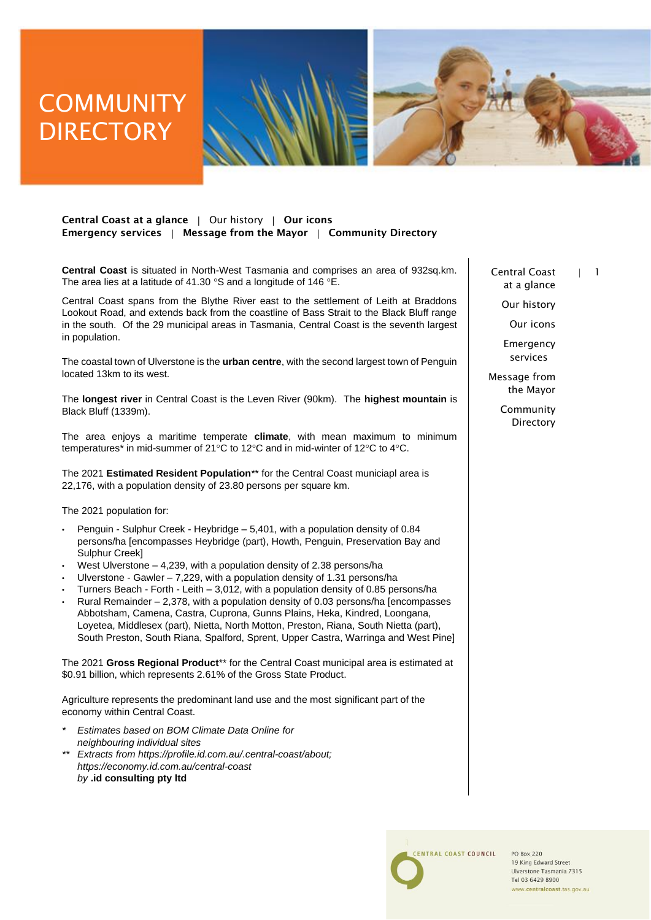# **COMMUNITY DIRECTORY**



### Central Coast at a glance | Our history | Our icons Emergency services | Message from the Mayor | Community Directory

**Central Coast** is situated in North-West Tasmania and comprises an area of 932sq.km. The area lies at a latitude of 41.30  $\degree$ S and a longitude of 146  $\degree$ E.

Central Coast spans from the Blythe River east to the settlement of Leith at Braddons Lookout Road, and extends back from the coastline of Bass Strait to the Black Bluff range in the south. Of the 29 municipal areas in Tasmania, Central Coast is the seventh largest in population.

The coastal town of Ulverstone is the **urban centre**, with the second largest town of Penguin located 13km to its west.

The **longest river** in Central Coast is the Leven River (90km). The **highest mountain** is Black Bluff (1339m).

The area enjoys a maritime temperate **climate**, with mean maximum to minimum temperatures\* in mid-summer of 21°C to 12°C and in mid-winter of 12°C to 4°C.

The 2021 **Estimated Resident Population**\*\* for the Central Coast municiapl area is 22,176, with a population density of 23.80 persons per square km.

The 2021 population for:

- Penguin Sulphur Creek Heybridge 5,401, with a population density of 0.84 persons/ha [encompasses Heybridge (part), Howth, Penguin, Preservation Bay and Sulphur Creek]
- West Ulverstone 4,239, with a population density of 2.38 persons/ha
- Ulverstone Gawler 7,229, with a population density of 1.31 persons/ha
- Turners Beach Forth Leith 3,012, with a population density of 0.85 persons/ha
- Rural Remainder 2,378, with a population density of 0.03 persons/ha [encompasses Abbotsham, Camena, Castra, Cuprona, Gunns Plains, Heka, Kindred, Loongana, Loyetea, Middlesex (part), Nietta, North Motton, Preston, Riana, South Nietta (part), South Preston, South Riana, Spalford, Sprent, Upper Castra, Warringa and West Pine]

The 2021 **Gross Regional Product**\*\* for the Central Coast municipal area is estimated at \$0.91 billion, which represents 2.61% of the Gross State Product.

Agriculture represents the predominant land use and the most significant part of the economy within Central Coast.

- *\* Estimates based on BOM Climate Data Online for neighbouring individual sites*
- *\*\* Extracts from https://profile.id.com.au/.central-coast/about; https://economy.id.com.au/central-coast by* **.id consulting pty ltd**

Central Coast | 1 at a glance

Our history

Our icons

Emergency services

Message from the Mayor

> Community **Directory**



**PO Box 220** 19 King Edward Street Ulverstone Tasmania 7315 Tel 03 6429 8900 www.centralcoast.tas.gov.au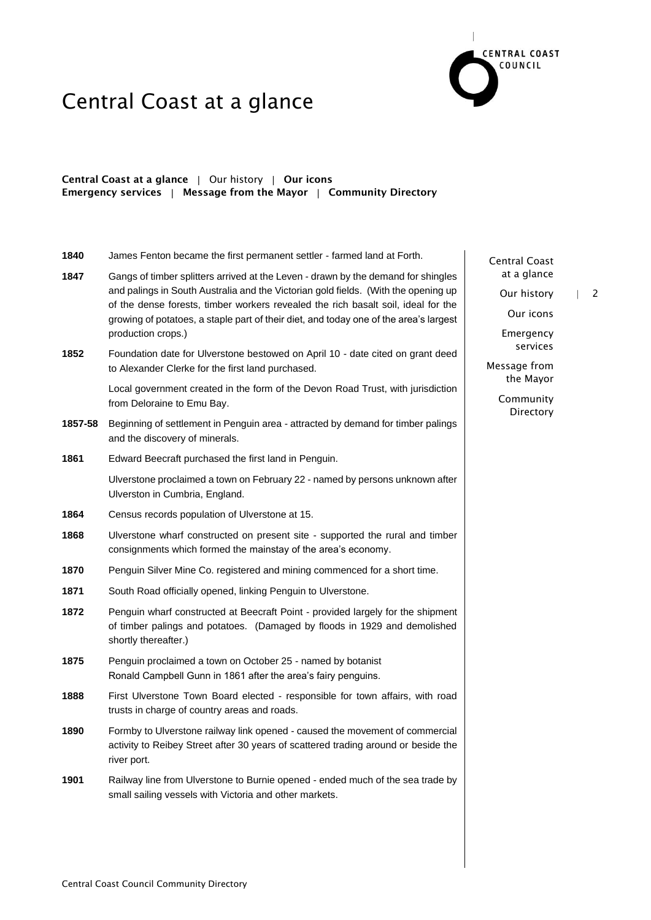

### Central Coast at a glance | Our history | Our icons Emergency services | Message from the Mayor | Community Directory

**1840** James Fenton became the first permanent settler - farmed land at Forth. **1847** Gangs of timber splitters arrived at the Leven - drawn by the demand for shingles and palings in South Australia and the Victorian gold fields. (With the opening up of the dense forests, timber workers revealed the rich basalt soil, ideal for the growing of potatoes, a staple part of their diet, and today one of the area's largest production crops.) **1852** Foundation date for Ulverstone bestowed on April 10 - date cited on grant deed to Alexander Clerke for the first land purchased. Local government created in the form of the Devon Road Trust, with jurisdiction from Deloraine to Emu Bay. **1857-58** Beginning of settlement in Penguin area - attracted by demand for timber palings and the discovery of minerals. **1861** Edward Beecraft purchased the first land in Penguin. Ulverstone proclaimed a town on February 22 - named by persons unknown after Ulverston in Cumbria, England. **1864** Census records population of Ulverstone at 15. **1868** Ulverstone wharf constructed on present site - supported the rural and timber consignments which formed the mainstay of the area's economy. **1870** Penguin Silver Mine Co. registered and mining commenced for a short time. **1871** South Road officially opened, linking Penguin to Ulverstone. **1872** Penguin wharf constructed at Beecraft Point - provided largely for the shipment of timber palings and potatoes. (Damaged by floods in 1929 and demolished shortly thereafter.) **1875** Penguin proclaimed a town on October 25 - named by botanist Ronald Campbell Gunn in 1861 after the area's fairy penguins. **1888** First Ulverstone Town Board elected - responsible for town affairs, with road trusts in charge of country areas and roads. **1890** Formby to Ulverstone railway link opened - caused the movement of commercial activity to Reibey Street after 30 years of scattered trading around or beside the river port. **1901** Railway line from Ulverstone to Burnie opened - ended much of the sea trade by small sailing vessels with Victoria and other markets.

Central Coast at a glance

Our history | 2

Our icons

Emergency services

Message from the Mayor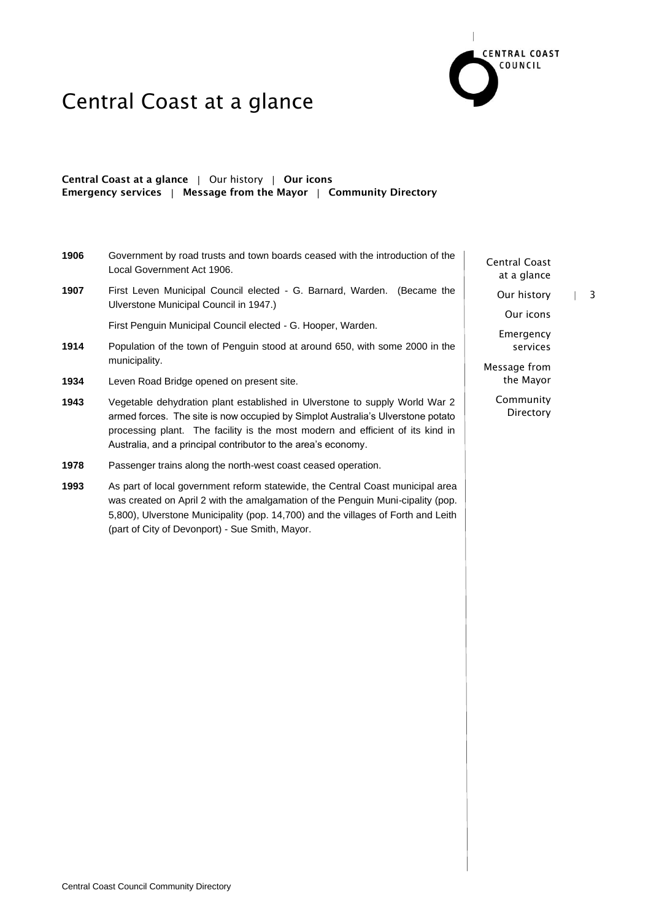

### Central Coast at a glance | Our history | Our icons Emergency services  $\parallel$  Message from the Mayor  $\parallel$  Community Directory

- **1906** Government by road trusts and town boards ceased with the introduction of the Local Government Act 1906.
- **1907** First Leven Municipal Council elected G. Barnard, Warden. (Became the Ulverstone Municipal Council in 1947.)

First Penguin Municipal Council elected - G. Hooper, Warden.

- **1914** Population of the town of Penguin stood at around 650, with some 2000 in the municipality.
- **1934** Leven Road Bridge opened on present site.
- **1943** Vegetable dehydration plant established in Ulverstone to supply World War 2 armed forces. The site is now occupied by Simplot Australia's Ulverstone potato processing plant. The facility is the most modern and efficient of its kind in Australia, and a principal contributor to the area's economy.
- **1978** Passenger trains along the north-west coast ceased operation.
- **1993** As part of local government reform statewide, the Central Coast municipal area was created on April 2 with the amalgamation of the Penguin Muni-cipality (pop. 5,800), Ulverstone Municipality (pop. 14,700) and the villages of Forth and Leith (part of City of Devonport) - Sue Smith, Mayor.

Central Coast at a glance

Our history | 3

Our icons

Emergency services

Message from the Mayor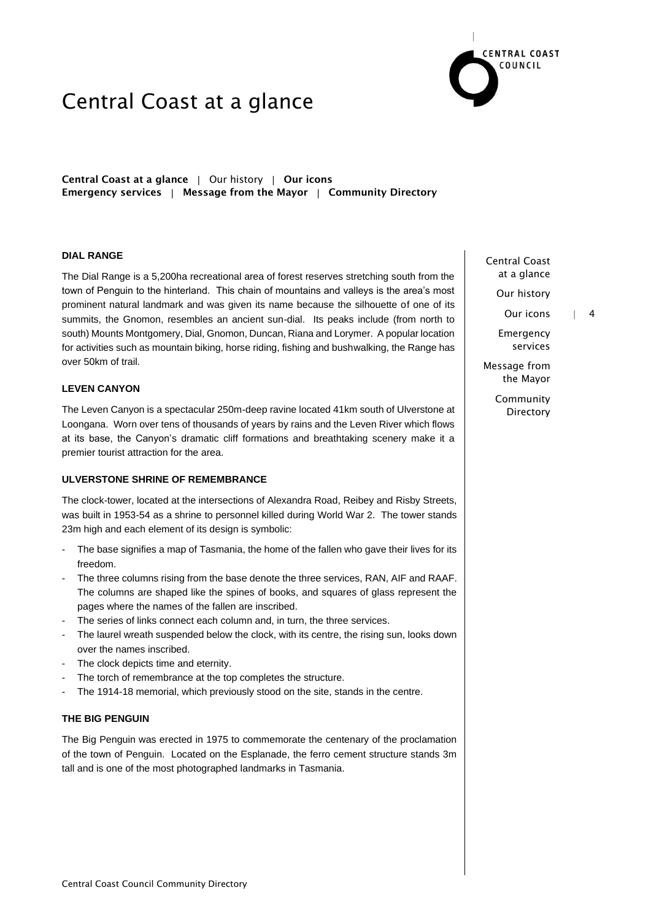

Central Coast at a glance | Our history | Our icons Emergency services | Message from the Mayor | Community Directory

#### **DIAL RANGE**

The Dial Range is a 5,200ha recreational area of forest reserves stretching south from the town of Penguin to the hinterland. This chain of mountains and valleys is the area's most prominent natural landmark and was given its name because the silhouette of one of its summits, the Gnomon, resembles an ancient sun-dial. Its peaks include (from north to south) Mounts Montgomery, Dial, Gnomon, Duncan, Riana and Lorymer. A popular location for activities such as mountain biking, horse riding, fishing and bushwalking, the Range has over 50km of trail.

#### **LEVEN CANYON**

The Leven Canyon is a spectacular 250m-deep ravine located 41km south of Ulverstone at Loongana. Worn over tens of thousands of years by rains and the Leven River which flows at its base, the Canyon's dramatic cliff formations and breathtaking scenery make it a premier tourist attraction for the area.

### **ULVERSTONE SHRINE OF REMEMBRANCE**

The clock-tower, located at the intersections of Alexandra Road, Reibey and Risby Streets, was built in 1953-54 as a shrine to personnel killed during World War 2. The tower stands 23m high and each element of its design is symbolic:

- The base signifies a map of Tasmania, the home of the fallen who gave their lives for its freedom.
- The three columns rising from the base denote the three services, RAN, AIF and RAAF. The columns are shaped like the spines of books, and squares of glass represent the pages where the names of the fallen are inscribed.
- The series of links connect each column and, in turn, the three services.
- The laurel wreath suspended below the clock, with its centre, the rising sun, looks down over the names inscribed.
- The clock depicts time and eternity.
- The torch of remembrance at the top completes the structure.
- The 1914-18 memorial, which previously stood on the site, stands in the centre.

### **THE BIG PENGUIN**

The Big Penguin was erected in 1975 to commemorate the centenary of the proclamation of the town of Penguin. Located on the Esplanade, the ferro cement structure stands 3m tall and is one of the most photographed landmarks in Tasmania.

Central Coast at a glance

Our history

Our icons | 4

Emergency services

Message from the Mayor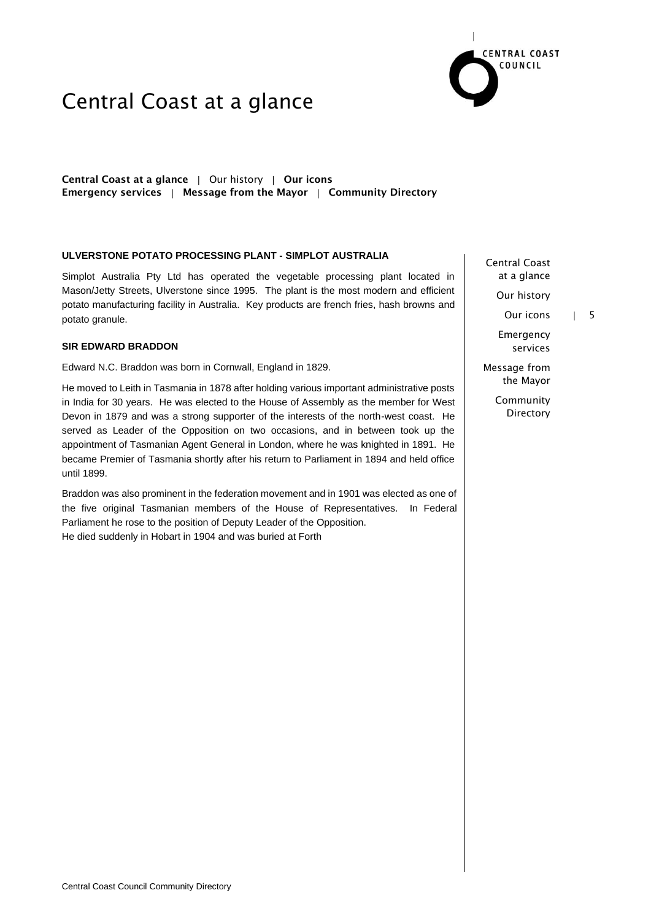

### Central Coast at a glance | Our history | Our icons Emergency services  $\parallel$  Message from the Mayor  $\parallel$  Community Directory

#### **ULVERSTONE POTATO PROCESSING PLANT - SIMPLOT AUSTRALIA**

Simplot Australia Pty Ltd has operated the vegetable processing plant located in Mason/Jetty Streets, Ulverstone since 1995. The plant is the most modern and efficient potato manufacturing facility in Australia. Key products are french fries, hash browns and potato granule.

#### **SIR EDWARD BRADDON**

Edward N.C. Braddon was born in Cornwall, England in 1829.

He moved to Leith in Tasmania in 1878 after holding various important administrative posts in India for 30 years. He was elected to the House of Assembly as the member for West Devon in 1879 and was a strong supporter of the interests of the north-west coast. He served as Leader of the Opposition on two occasions, and in between took up the appointment of Tasmanian Agent General in London, where he was knighted in 1891. He became Premier of Tasmania shortly after his return to Parliament in 1894 and held office until 1899.

Braddon was also prominent in the federation movement and in 1901 was elected as one of the five original Tasmanian members of the House of Representatives. In Federal Parliament he rose to the position of Deputy Leader of the Opposition. He died suddenly in Hobart in 1904 and was buried at Forth

Central Coast at a glance

Our history

Our icons | 5

Emergency services

Message from the Mayor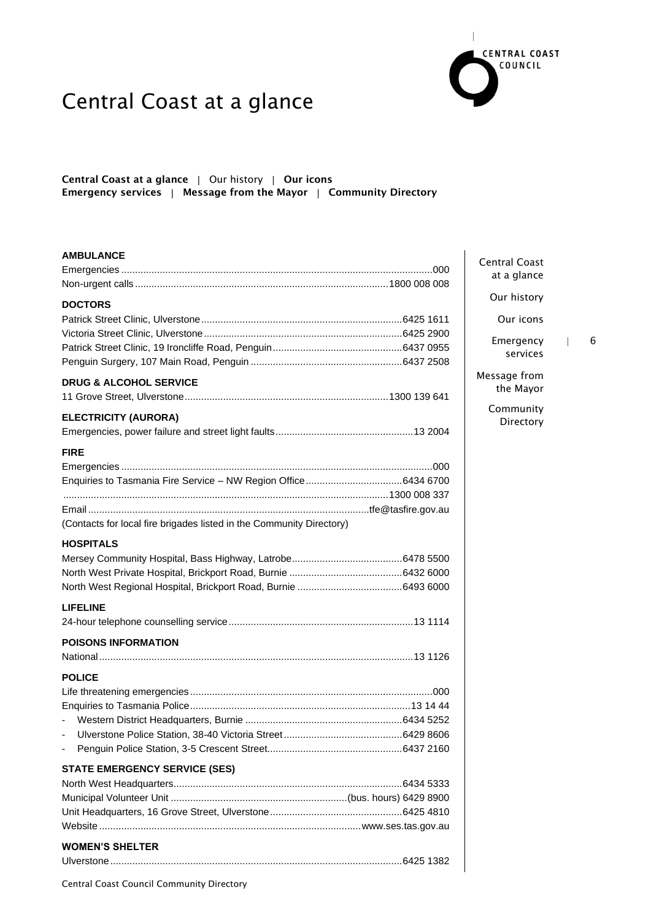

### Central Coast at a glance | Our history | Our icons Emergency services | Message from the Mayor | Community Directory

#### **AMBULANCE**

| <b>DOCTORS</b>                                                       |  |
|----------------------------------------------------------------------|--|
|                                                                      |  |
|                                                                      |  |
|                                                                      |  |
|                                                                      |  |
| <b>DRUG &amp; ALCOHOL SERVICE</b>                                    |  |
|                                                                      |  |
| <b>ELECTRICITY (AURORA)</b>                                          |  |
|                                                                      |  |
| <b>FIRE</b>                                                          |  |
|                                                                      |  |
|                                                                      |  |
|                                                                      |  |
|                                                                      |  |
| (Contacts for local fire brigades listed in the Community Directory) |  |
| <b>HOSPITALS</b>                                                     |  |
|                                                                      |  |
|                                                                      |  |
|                                                                      |  |
| <b>LIFELINE</b>                                                      |  |
|                                                                      |  |
| <b>POISONS INFORMATION</b>                                           |  |
|                                                                      |  |
| <b>POLICE</b>                                                        |  |
|                                                                      |  |
|                                                                      |  |
| $\qquad \qquad \blacksquare$                                         |  |
| $\blacksquare$                                                       |  |
| ÷,                                                                   |  |
| <b>STATE EMERGENCY SERVICE (SES)</b>                                 |  |
|                                                                      |  |
|                                                                      |  |
|                                                                      |  |
|                                                                      |  |
| <b>WOMEN'S SHELTER</b>                                               |  |
|                                                                      |  |
| Central Coast Council Community Directory                            |  |

Central Coast at a glance

Our history

Our icons

Emergency | 6 services

Message from the Mayor